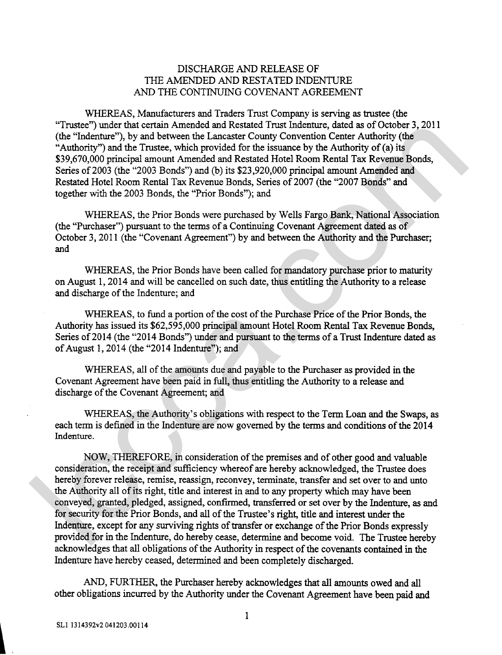## DISCHARGE AND RELEASE OF THE AMENDED AND RESTATED INDENTURE AND THE CONTINUING COVENANT AGREEMENT

WHEREAS, Manufacturers and Traders Trust Company is serving as trustee (the "Trustee") under that certain Amended and Restated Trust Indenture, dated as of October 3,201 1 (the "Indenture"), by and between the Lancaster County Convention Center Authority (the "Authority") and the Trustee, which provided for the issuance by the Authority of (a) its \$39,670,000 principal amount Amended and Restated Hotel Room Rental Tax Revenue Bonds, Series of 2003 (the "2003 Bonds") and (b) its \$23,920,000 principal amount Amended and Restated Hotel Room Rental Tax Revenue Bonds, Series of 2007 (the "2007 Bonds" and together with the 2003 Bonds, the "Prior Bonds"); and

WHEREAS, the Prior Bonds were purchased by Wells Fargo Bank, National Association (the "Purchaser") pursuant to the terms of a Continuing Covenant Agreement dated as of October 3, 2011 (the "Covenant Agreement") by and between the Authority and the Purchaser; and

WHEREAS, the Prior Bonds have been called for mandatory purchase prior to maturity on August 1,2014 and will be cancelled on such date, thus entitling the Authority to a release and discharge of the Indenture; and

WHEREAS, to fund a portion of the cost of the Purchase Price of the Prior Bonds, the Authority has issued its \$62,595,000 principal amount Hotel Room Rental Tax Revenue Bonds, Series of 2014 (the "2014 Bonds") under and pursuant to the terms of a Trust Indenture dated as of August 1, 2014 (the "2014 Indenture"); and

WHEREAS, all of the amounts due and payable to the Purchaser as provided in the Covenant Agreement have been paid in full, thus entitling the Authority to a release and discharge of the Covenant Agreement; and

WHEREAS, the Authority's obligations with respect to the Term Loan and the Swaps, as each term is defined in the Indenture are now governed by the terms and conditions of the 2014 Indenture.

NOW, THEREFORE, in consideration of the premises and of other good and valuable consideration, the receipt and sufficiency whereof are hereby acknowledged, the Trustee does hereby forever release, remise, reassign, reconvey, terminate, transfer and set over to and unto the Authority all of its right, title and interest in and to any property which may have been conveyed, granted, pledged, assigned, confirmed, transferred or set over by the Indenture, as and for security for the Prior Bonds, and all of the Trustee's right, title and interest under the Indenture, except for any surviving rights of transfer or exchange of the Prior Bonds expressly provided for in the Indenture, do hereby cease, determine and become void. The Trustee hereby acknowledges that all obligations of the Authority in respect of the covenants contained in the Indenture have hereby ceased, determined and been completely discharged. Traces: "under that certain Amended and estated. I ratio facebox and Ocioners, a correlation (the "haddmitry") and between the Landster Conny Convention Center Authority (the "Authority") and the reason of the interaction

AND, FURTHER, the Purchaser hereby acknowledges that all amounts owed and all other obligations incurred by the Authority under the Covenant Agreement have been paid and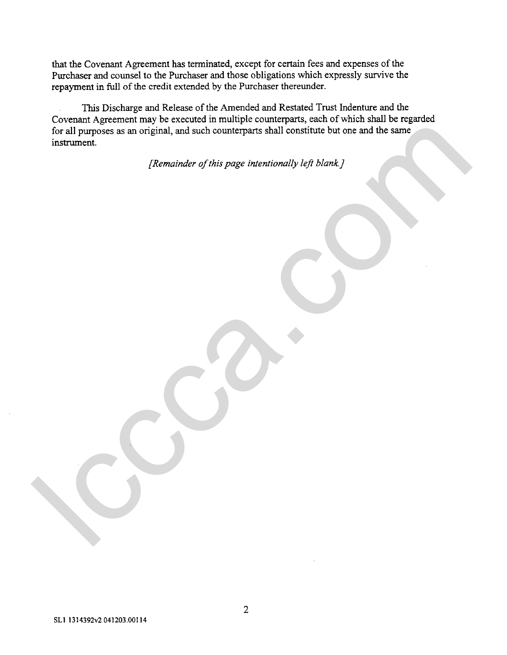that the Covenant Agreement has terminated, except for certain fees and expenses of the Purchaser and counsel to the Purchaser and those obligations which expressly survive the repayment in full of the credit extended by the Purchaser thereunder.

**This** Discharge and Release of the Amended and Restated Trust Indenture and the Covenant Agreement may be executed in multiple counterparts, each of which shall be regarded for all purposes as an original, and such counterparts shall constitute but one and the same instrument. for all purposes as an original, and such counterparts shall constitute but one and the sum<br>instrument.<br>
[Remainder of this page intentionally left blank ]

*[Remainder of this page intentionally lefi blank]*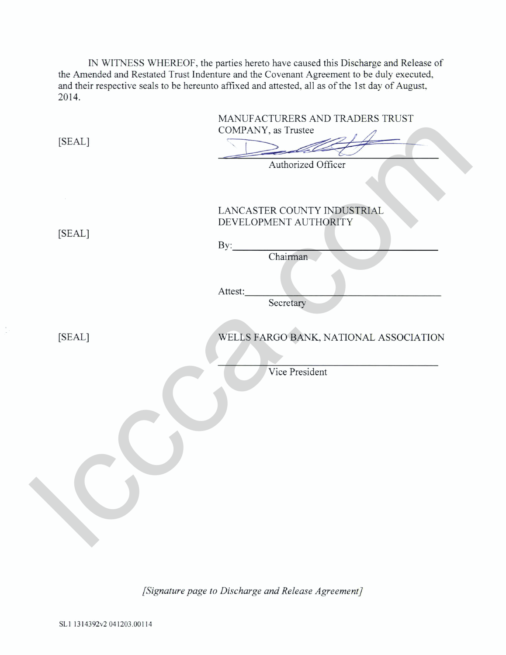IN WITNESS WHEREOF, the parties hereto have caused this Discharge and Release of the Amended and Restated Trust Indenture and the Covenant Agreement to be duly executed, and their respective seals to be hereunto affixed and attested, all as of the 1st day of August, 2014.

| [SEAL] | MANUFACTURERS AND TRADERS TRUST<br>COMPANY, as Trustee |
|--------|--------------------------------------------------------|
|        |                                                        |
|        | Authorized Officer                                     |
|        |                                                        |
| [SEAL] | LANCASTER COUNTY INDUSTRIAL<br>DEVELOPMENT AUTHORITY   |
|        | By:<br>Chairman                                        |
|        | Attest:<br>Secretary                                   |
|        |                                                        |
| [SEAL] | WELLS FARGO BANK, NATIONAL ASSOCIATION                 |
|        | Vice President                                         |
|        |                                                        |
|        |                                                        |
|        |                                                        |
|        |                                                        |

*[Signature page to Discharge and Release Agreement]*